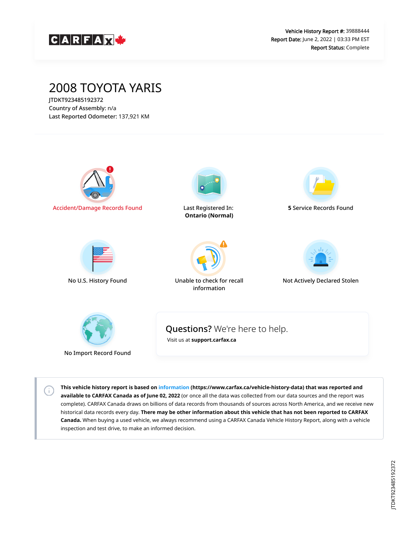

# 2008 TOYOTA YARIS

JTDKT923485192372 Country of Assembly: n/a Last Reported Odometer: 137,921 KM

 $\left( \cdot \right)$ 



**This vehicle history report is based on [information](https://www.carfax.ca/vehicle-history-data) (https://www.carfax.ca/vehicle-history-data) that was reported and available to CARFAX Canada as of June 02, 2022** (or once all the data was collected from our data sources and the report was complete). CARFAX Canada draws on billions of data records from thousands of sources across North America, and we receive new historical data records every day. **There may be other information about this vehicle that has not been reported to CARFAX Canada.** When buying a used vehicle, we always recommend using a CARFAX Canada Vehicle History Report, along with a vehicle inspection and test drive, to make an informed decision.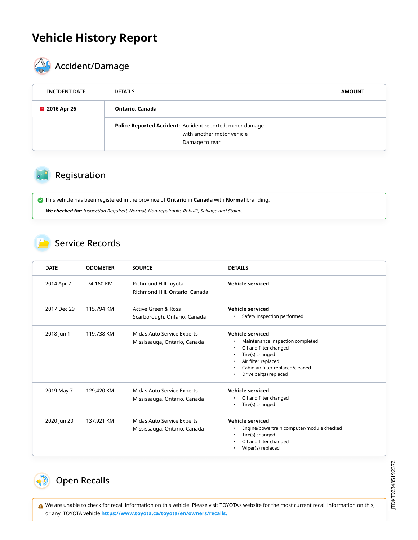# **Vehicle History Report**



# **AL** Accident/Damage

| <b>INCIDENT DATE</b> | <b>DETAILS</b>                                                                                            | <b>AMOUNT</b> |
|----------------------|-----------------------------------------------------------------------------------------------------------|---------------|
| <b>@</b> 2016 Apr 26 | Ontario, Canada                                                                                           |               |
|                      | Police Reported Accident: Accident reported: minor damage<br>with another motor vehicle<br>Damage to rear |               |

#### Registration

This vehicle has been registered in the province of **Ontario** in **Canada** with **Normal** branding.

**We checked for:** Inspection Required, Normal, Non-repairable, Rebuilt, Salvage and Stolen.

#### Service Records

| <b>DATE</b> | <b>ODOMETER</b> | <b>SOURCE</b>                                              | <b>DETAILS</b>                                                                                                                                                                          |
|-------------|-----------------|------------------------------------------------------------|-----------------------------------------------------------------------------------------------------------------------------------------------------------------------------------------|
| 2014 Apr 7  | 74,160 KM       | Richmond Hill Toyota<br>Richmond Hill, Ontario, Canada     | Vehicle serviced                                                                                                                                                                        |
| 2017 Dec 29 | 115,794 KM      | Active Green & Ross<br>Scarborough, Ontario, Canada        | <b>Vehicle serviced</b><br>Safety inspection performed                                                                                                                                  |
| 2018 Jun 1  | 119,738 KM      | Midas Auto Service Experts<br>Mississauga, Ontario, Canada | Vehicle serviced<br>Maintenance inspection completed<br>Oil and filter changed<br>Tire(s) changed<br>Air filter replaced<br>Cabin air filter replaced/cleaned<br>Drive belt(s) replaced |
| 2019 May 7  | 129,420 KM      | Midas Auto Service Experts<br>Mississauga, Ontario, Canada | <b>Vehicle serviced</b><br>Oil and filter changed<br>Tire(s) changed                                                                                                                    |
| 2020 Jun 20 | 137,921 KM      | Midas Auto Service Experts<br>Mississauga, Ontario, Canada | Vehicle serviced<br>Engine/powertrain computer/module checked<br>Tire(s) changed<br>Oil and filter changed<br>Wiper(s) replaced                                                         |

### <span id="page-1-0"></span>Open Recalls

 We are unable to check for recall information on this vehicle. Please visit TOYOTA's website for the most current recall information on this, or any, TOYOTA vehicle **[https://www.toyota.ca/toyota/en/owners/recalls.](https://www.toyota.ca/toyota/en/owners/recalls)**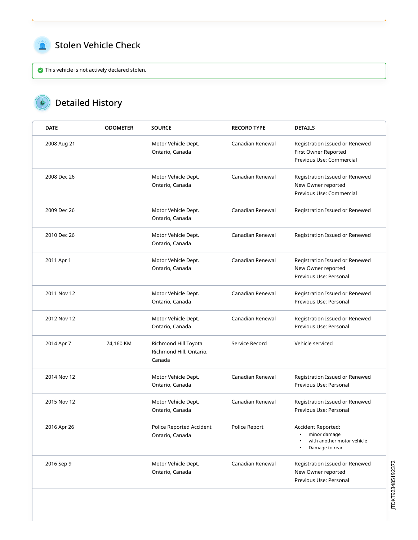<span id="page-2-0"></span>

#### Stolen Vehicle Check

This vehicle is not actively declared stolen.

#### Detailed History  $\mathbf{c}$

| <b>DATE</b> | <b>ODOMETER</b> | <b>SOURCE</b>                                             | <b>RECORD TYPE</b> | <b>DETAILS</b>                                                                                  |
|-------------|-----------------|-----------------------------------------------------------|--------------------|-------------------------------------------------------------------------------------------------|
| 2008 Aug 21 |                 | Motor Vehicle Dept.<br>Ontario, Canada                    | Canadian Renewal   | Registration Issued or Renewed<br>First Owner Reported<br>Previous Use: Commercial              |
| 2008 Dec 26 |                 | Motor Vehicle Dept.<br>Ontario, Canada                    | Canadian Renewal   | Registration Issued or Renewed<br>New Owner reported<br>Previous Use: Commercial                |
| 2009 Dec 26 |                 | Motor Vehicle Dept.<br>Ontario, Canada                    | Canadian Renewal   | Registration Issued or Renewed                                                                  |
| 2010 Dec 26 |                 | Motor Vehicle Dept.<br>Ontario, Canada                    | Canadian Renewal   | Registration Issued or Renewed                                                                  |
| 2011 Apr 1  |                 | Motor Vehicle Dept.<br>Ontario, Canada                    | Canadian Renewal   | Registration Issued or Renewed<br>New Owner reported<br>Previous Use: Personal                  |
| 2011 Nov 12 |                 | Motor Vehicle Dept.<br>Ontario, Canada                    | Canadian Renewal   | Registration Issued or Renewed<br>Previous Use: Personal                                        |
| 2012 Nov 12 |                 | Motor Vehicle Dept.<br>Ontario, Canada                    | Canadian Renewal   | Registration Issued or Renewed<br>Previous Use: Personal                                        |
| 2014 Apr 7  | 74,160 KM       | Richmond Hill Toyota<br>Richmond Hill, Ontario,<br>Canada | Service Record     | Vehicle serviced                                                                                |
| 2014 Nov 12 |                 | Motor Vehicle Dept.<br>Ontario, Canada                    | Canadian Renewal   | Registration Issued or Renewed<br>Previous Use: Personal                                        |
| 2015 Nov 12 |                 | Motor Vehicle Dept.<br>Ontario, Canada                    | Canadian Renewal   | Registration Issued or Renewed<br>Previous Use: Personal                                        |
| 2016 Apr 26 |                 | Police Reported Accident<br>Ontario, Canada               | Police Report      | Accident Reported:<br>minor damage<br>$\bullet$<br>with another motor vehicle<br>Damage to rear |
| 2016 Sep 9  |                 | Motor Vehicle Dept.<br>Ontario, Canada                    | Canadian Renewal   | Registration Issued or Renewed<br>New Owner reported<br>Previous Use: Personal                  |